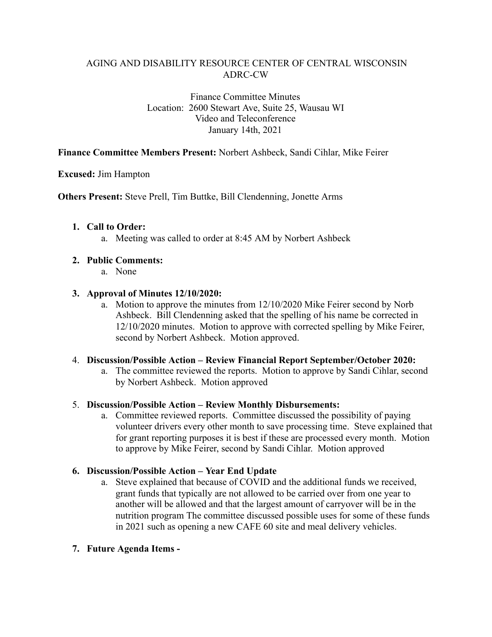Finance Committee Minutes Location: 2600 Stewart Ave, Suite 25, Wausau WI Video and Teleconference January 14th, 2021

#### **Finance Committee Members Present:** Norbert Ashbeck, Sandi Cihlar, Mike Feirer

#### **Excused:** Jim Hampton

**Others Present:** Steve Prell, Tim Buttke, Bill Clendenning, Jonette Arms

#### **1. Call to Order:**

a. Meeting was called to order at 8:45 AM by Norbert Ashbeck

#### **2. Public Comments:**

a. None

#### **3. Approval of Minutes 12/10/2020:**

a. Motion to approve the minutes from 12/10/2020 Mike Feirer second by Norb Ashbeck. Bill Clendenning asked that the spelling of his name be corrected in 12/10/2020 minutes. Motion to approve with corrected spelling by Mike Feirer, second by Norbert Ashbeck. Motion approved.

#### 4. **Discussion/Possible Action – Review Financial Report September/October 2020:**

a. The committee reviewed the reports. Motion to approve by Sandi Cihlar, second by Norbert Ashbeck. Motion approved

#### 5. **Discussion/Possible Action – Review Monthly Disbursements:**

a. Committee reviewed reports. Committee discussed the possibility of paying volunteer drivers every other month to save processing time. Steve explained that for grant reporting purposes it is best if these are processed every month. Motion to approve by Mike Feirer, second by Sandi Cihlar. Motion approved

#### **6. Discussion/Possible Action – Year End Update**

a. Steve explained that because of COVID and the additional funds we received, grant funds that typically are not allowed to be carried over from one year to another will be allowed and that the largest amount of carryover will be in the nutrition program The committee discussed possible uses for some of these funds in 2021 such as opening a new CAFE 60 site and meal delivery vehicles.

#### **7. Future Agenda Items -**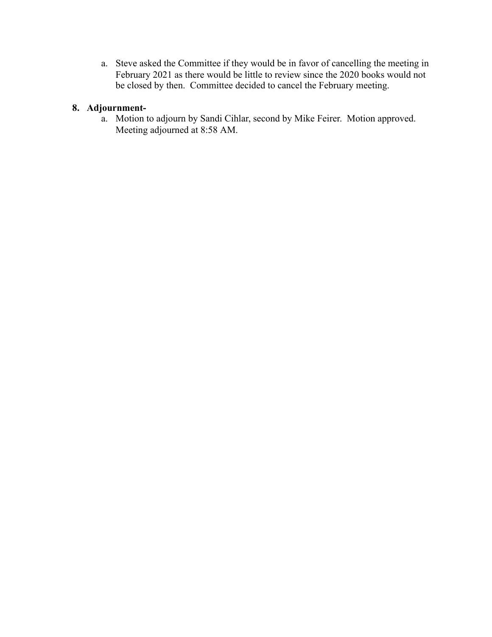a. Steve asked the Committee if they would be in favor of cancelling the meeting in February 2021 as there would be little to review since the 2020 books would not be closed by then. Committee decided to cancel the February meeting.

# **8. Adjournment-**

a. Motion to adjourn by Sandi Cihlar, second by Mike Feirer. Motion approved. Meeting adjourned at 8:58 AM.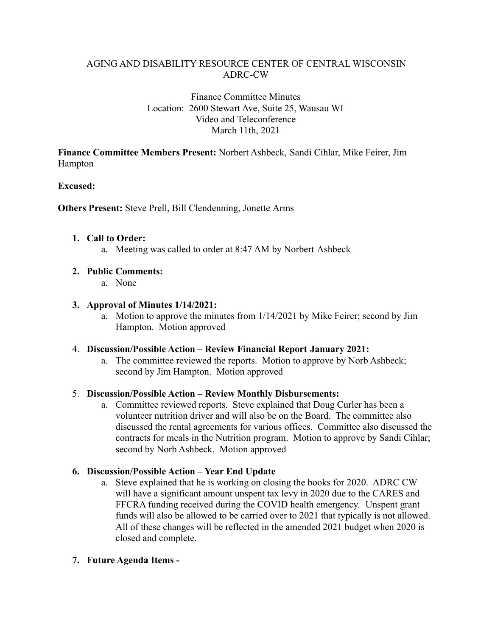#### Finance Committee Minutes Location: 2600 Stewart Ave, Suite 25, Wausau WI Video and Teleconference March 11th, 2021

**Finance Committee Members Present:** Norbert Ashbeck, Sandi Cihlar, Mike Feirer, Jim Hampton

### **Excused:**

**Others Present:** Steve Prell, Bill Clendenning, Jonette Arms

#### **1. Call to Order:**

a. Meeting was called to order at 8:47 AM by Norbert Ashbeck

### **2. Public Comments:**

a. None

#### **3. Approval of Minutes 1/14/2021:**

a. Motion to approve the minutes from 1/14/2021 by Mike Feirer; second by Jim Hampton. Motion approved

#### 4. **Discussion/Possible Action – Review Financial Report January 2021:**

a. The committee reviewed the reports. Motion to approve by Norb Ashbeck; second by Jim Hampton. Motion approved

### 5. **Discussion/Possible Action – Review Monthly Disbursements:**

a. Committee reviewed reports. Steve explained that Doug Curler has been a volunteer nutrition driver and will also be on the Board. The committee also discussed the rental agreements for various offices. Committee also discussed the contracts for meals in the Nutrition program. Motion to approve by Sandi Cihlar; second by Norb Ashbeck. Motion approved

### **6. Discussion/Possible Action – Year End Update**

a. Steve explained that he is working on closing the books for 2020. ADRC CW will have a significant amount unspent tax levy in 2020 due to the CARES and FFCRA funding received during the COVID health emergency. Unspent grant funds will also be allowed to be carried over to 2021 that typically is not allowed. All of these changes will be reflected in the amended 2021 budget when 2020 is closed and complete.

### **7. Future Agenda Items -**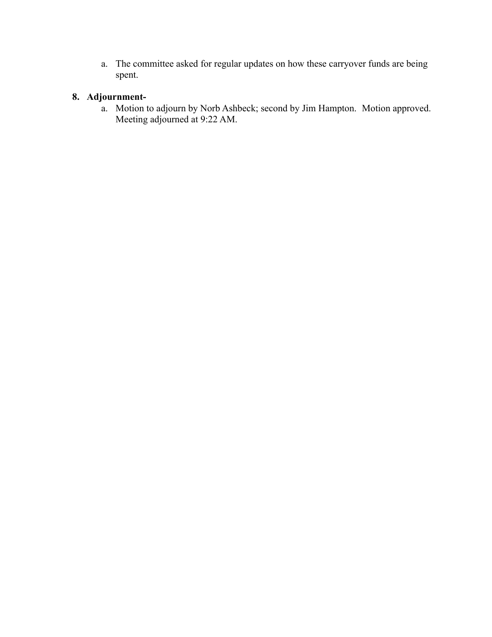a. The committee asked for regular updates on how these carryover funds are being spent.

# **8. Adjournment-**

a. Motion to adjourn by Norb Ashbeck; second by Jim Hampton. Motion approved. Meeting adjourned at 9:22 AM.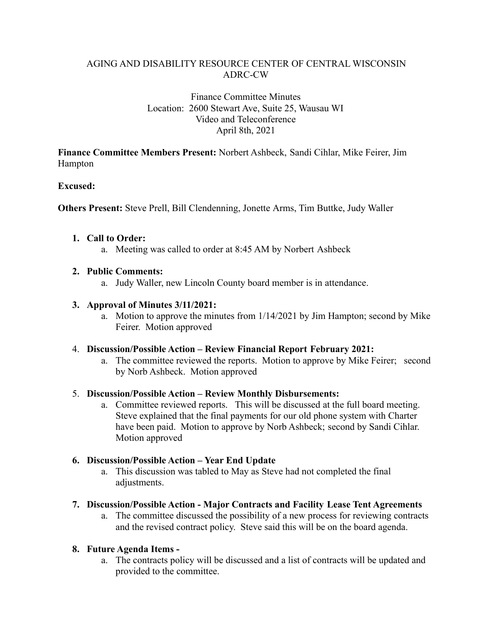#### Finance Committee Minutes Location: 2600 Stewart Ave, Suite 25, Wausau WI Video and Teleconference April 8th, 2021

**Finance Committee Members Present:** Norbert Ashbeck, Sandi Cihlar, Mike Feirer, Jim Hampton

### **Excused:**

**Others Present:** Steve Prell, Bill Clendenning, Jonette Arms, Tim Buttke, Judy Waller

### **1. Call to Order:**

a. Meeting was called to order at 8:45 AM by Norbert Ashbeck

### **2. Public Comments:**

a. Judy Waller, new Lincoln County board member is in attendance.

### **3. Approval of Minutes 3/11/2021:**

a. Motion to approve the minutes from 1/14/2021 by Jim Hampton; second by Mike Feirer. Motion approved

### 4. **Discussion/Possible Action – Review Financial Report February 2021:**

a. The committee reviewed the reports. Motion to approve by Mike Feirer; second by Norb Ashbeck. Motion approved

### 5. **Discussion/Possible Action – Review Monthly Disbursements:**

a. Committee reviewed reports. This will be discussed at the full board meeting. Steve explained that the final payments for our old phone system with Charter have been paid. Motion to approve by Norb Ashbeck; second by Sandi Cihlar. Motion approved

# **6. Discussion/Possible Action – Year End Update**

a. This discussion was tabled to May as Steve had not completed the final adjustments.

### **7. Discussion/Possible Action - Major Contracts and Facility Lease Tent Agreements**

a. The committee discussed the possibility of a new process for reviewing contracts and the revised contract policy. Steve said this will be on the board agenda.

# **8. Future Agenda Items -**

a. The contracts policy will be discussed and a list of contracts will be updated and provided to the committee.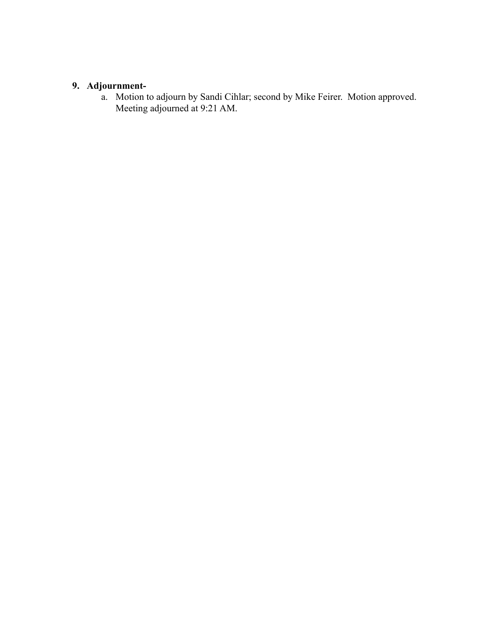#### **9. Adjournment-**

a. Motion to adjourn by Sandi Cihlar; second by Mike Feirer. Motion approved. Meeting adjourned at 9:21 AM.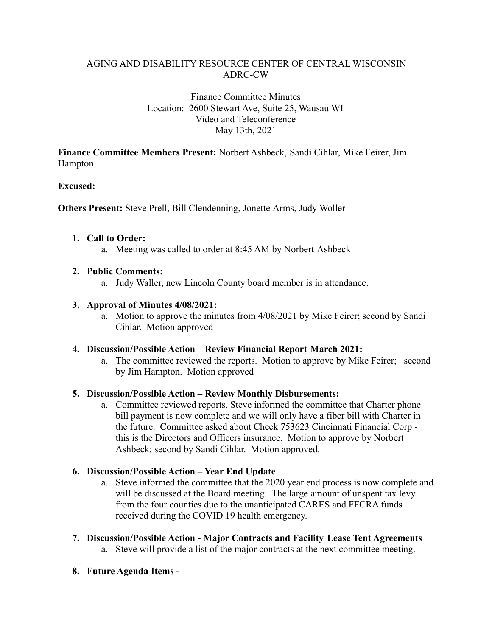#### Finance Committee Minutes Location: 2600 Stewart Ave, Suite 25, Wausau WI Video and Teleconference May 13th, 2021

**Finance Committee Members Present:** Norbert Ashbeck, Sandi Cihlar, Mike Feirer, Jim Hampton

### **Excused:**

**Others Present:** Steve Prell, Bill Clendenning, Jonette Arms, Judy Woller

### **1. Call to Order:**

a. Meeting was called to order at 8:45 AM by Norbert Ashbeck

### **2. Public Comments:**

a. Judy Waller, new Lincoln County board member is in attendance.

### **3. Approval of Minutes 4/08/2021:**

a. Motion to approve the minutes from 4/08/2021 by Mike Feirer; second by Sandi Cihlar. Motion approved

### **4. Discussion/Possible Action – Review Financial Report March 2021:**

a. The committee reviewed the reports. Motion to approve by Mike Feirer; second by Jim Hampton. Motion approved

### **5. Discussion/Possible Action – Review Monthly Disbursements:**

a. Committee reviewed reports. Steve informed the committee that Charter phone bill payment is now complete and we will only have a fiber bill with Charter in the future. Committee asked about Check 753623 Cincinnati Financial Corp this is the Directors and Officers insurance. Motion to approve by Norbert Ashbeck; second by Sandi Cihlar. Motion approved.

# **6. Discussion/Possible Action – Year End Update**

- a. Steve informed the committee that the 2020 year end process is now complete and will be discussed at the Board meeting. The large amount of unspent tax levy from the four counties due to the unanticipated CARES and FFCRA funds received during the COVID 19 health emergency.
- **7. Discussion/Possible Action Major Contracts and Facility Lease Tent Agreements**
	- a. Steve will provide a list of the major contracts at the next committee meeting.
- **8. Future Agenda Items -**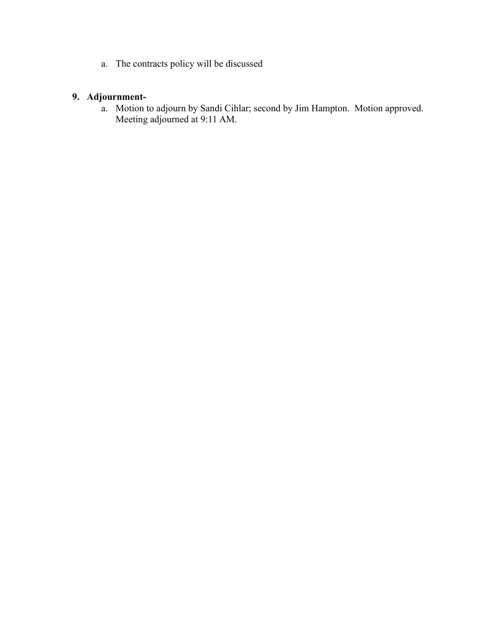a. The contracts policy will be discussed

# **9. Adjournment-**

a. Motion to adjourn by Sandi Cihlar; second by Jim Hampton. Motion approved. Meeting adjourned at 9:11 AM.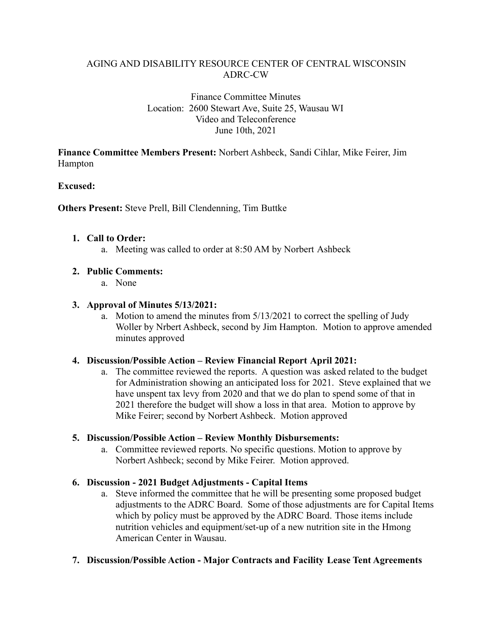#### Finance Committee Minutes Location: 2600 Stewart Ave, Suite 25, Wausau WI Video and Teleconference June 10th, 2021

**Finance Committee Members Present:** Norbert Ashbeck, Sandi Cihlar, Mike Feirer, Jim Hampton

### **Excused:**

**Others Present:** Steve Prell, Bill Clendenning, Tim Buttke

#### **1. Call to Order:**

a. Meeting was called to order at 8:50 AM by Norbert Ashbeck

### **2. Public Comments:**

a. None

#### **3. Approval of Minutes 5/13/2021:**

a. Motion to amend the minutes from 5/13/2021 to correct the spelling of Judy Woller by Nrbert Ashbeck, second by Jim Hampton. Motion to approve amended minutes approved

#### **4. Discussion/Possible Action – Review Financial Report April 2021:**

a. The committee reviewed the reports. A question was asked related to the budget for Administration showing an anticipated loss for 2021. Steve explained that we have unspent tax levy from 2020 and that we do plan to spend some of that in 2021 therefore the budget will show a loss in that area. Motion to approve by Mike Feirer; second by Norbert Ashbeck. Motion approved

#### **5. Discussion/Possible Action – Review Monthly Disbursements:**

a. Committee reviewed reports. No specific questions. Motion to approve by Norbert Ashbeck; second by Mike Feirer. Motion approved.

### **6. Discussion - 2021 Budget Adjustments - Capital Items**

a. Steve informed the committee that he will be presenting some proposed budget adjustments to the ADRC Board. Some of those adjustments are for Capital Items which by policy must be approved by the ADRC Board. Those items include nutrition vehicles and equipment/set-up of a new nutrition site in the Hmong American Center in Wausau.

#### **7. Discussion/Possible Action - Major Contracts and Facility Lease Tent Agreements**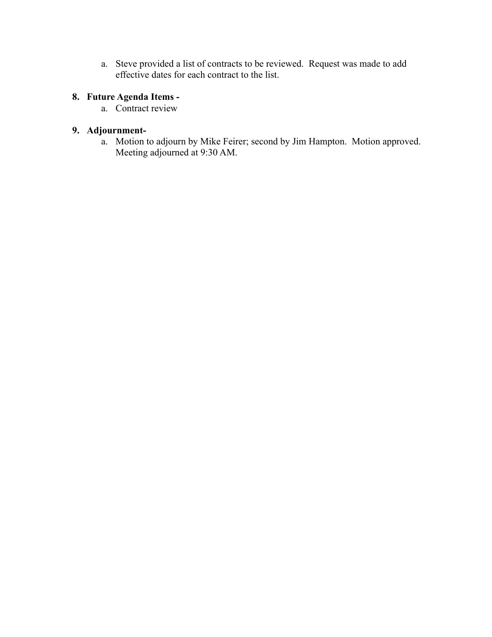a. Steve provided a list of contracts to be reviewed. Request was made to add effective dates for each contract to the list.

# **8. Future Agenda Items -**

a. Contract review

# **9. Adjournment-**

a. Motion to adjourn by Mike Feirer; second by Jim Hampton. Motion approved. Meeting adjourned at 9:30 AM.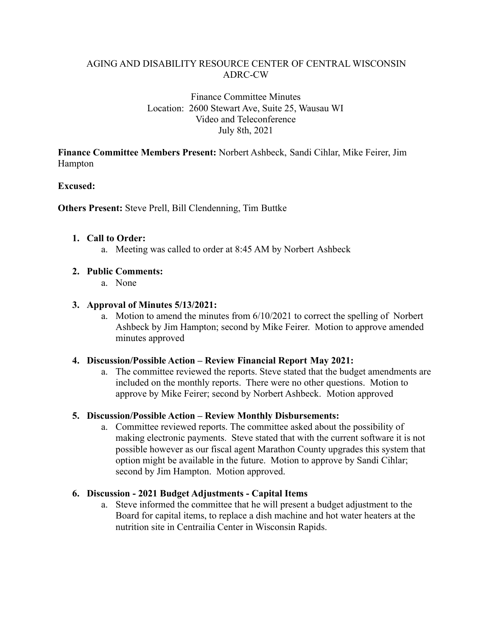#### Finance Committee Minutes Location: 2600 Stewart Ave, Suite 25, Wausau WI Video and Teleconference July 8th, 2021

**Finance Committee Members Present:** Norbert Ashbeck, Sandi Cihlar, Mike Feirer, Jim Hampton

### **Excused:**

**Others Present:** Steve Prell, Bill Clendenning, Tim Buttke

#### **1. Call to Order:**

a. Meeting was called to order at 8:45 AM by Norbert Ashbeck

### **2. Public Comments:**

a. None

#### **3. Approval of Minutes 5/13/2021:**

a. Motion to amend the minutes from 6/10/2021 to correct the spelling of Norbert Ashbeck by Jim Hampton; second by Mike Feirer. Motion to approve amended minutes approved

#### **4. Discussion/Possible Action – Review Financial Report May 2021:**

a. The committee reviewed the reports. Steve stated that the budget amendments are included on the monthly reports. There were no other questions. Motion to approve by Mike Feirer; second by Norbert Ashbeck. Motion approved

### **5. Discussion/Possible Action – Review Monthly Disbursements:**

a. Committee reviewed reports. The committee asked about the possibility of making electronic payments. Steve stated that with the current software it is not possible however as our fiscal agent Marathon County upgrades this system that option might be available in the future. Motion to approve by Sandi Cihlar; second by Jim Hampton. Motion approved.

### **6. Discussion - 2021 Budget Adjustments - Capital Items**

a. Steve informed the committee that he will present a budget adjustment to the Board for capital items, to replace a dish machine and hot water heaters at the nutrition site in Centrailia Center in Wisconsin Rapids.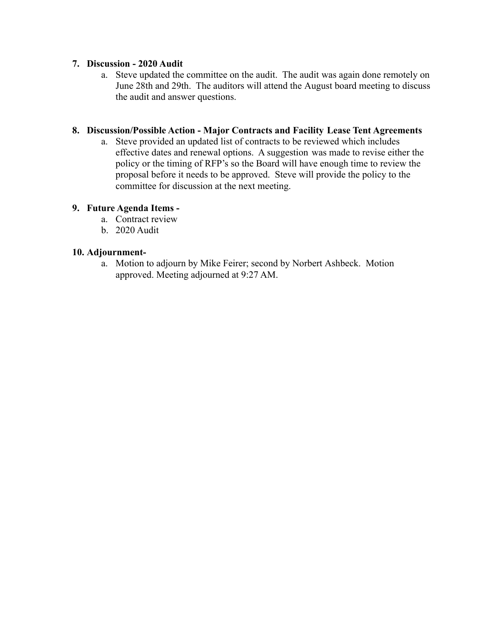#### **7. Discussion - 2020 Audit**

a. Steve updated the committee on the audit. The audit was again done remotely on June 28th and 29th. The auditors will attend the August board meeting to discuss the audit and answer questions.

#### **8. Discussion/Possible Action - Major Contracts and Facility Lease Tent Agreements**

a. Steve provided an updated list of contracts to be reviewed which includes effective dates and renewal options. A suggestion was made to revise either the policy or the timing of RFP's so the Board will have enough time to review the proposal before it needs to be approved. Steve will provide the policy to the committee for discussion at the next meeting.

#### **9. Future Agenda Items -**

- a. Contract review
- b. 2020 Audit

#### **10. Adjournment-**

a. Motion to adjourn by Mike Feirer; second by Norbert Ashbeck. Motion approved. Meeting adjourned at 9:27 AM.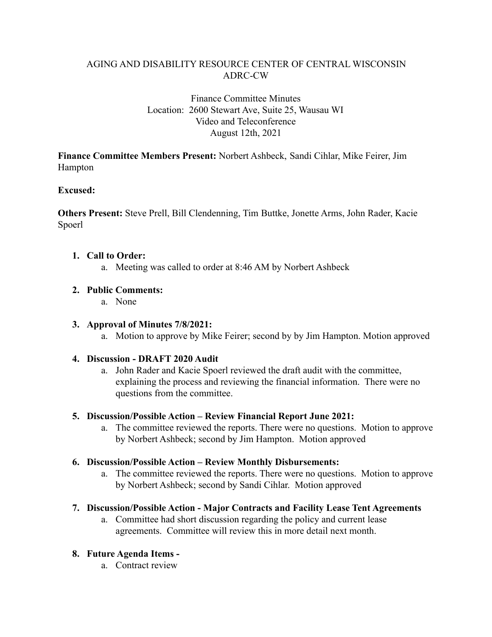### Finance Committee Minutes Location: 2600 Stewart Ave, Suite 25, Wausau WI Video and Teleconference August 12th, 2021

**Finance Committee Members Present:** Norbert Ashbeck, Sandi Cihlar, Mike Feirer, Jim Hampton

### **Excused:**

**Others Present:** Steve Prell, Bill Clendenning, Tim Buttke, Jonette Arms, John Rader, Kacie Spoerl

### **1. Call to Order:**

a. Meeting was called to order at 8:46 AM by Norbert Ashbeck

### **2. Public Comments:**

a. None

### **3. Approval of Minutes 7/8/2021:**

a. Motion to approve by Mike Feirer; second by by Jim Hampton. Motion approved

### **4. Discussion - DRAFT 2020 Audit**

a. John Rader and Kacie Spoerl reviewed the draft audit with the committee, explaining the process and reviewing the financial information. There were no questions from the committee.

### **5. Discussion/Possible Action – Review Financial Report June 2021:**

a. The committee reviewed the reports. There were no questions. Motion to approve by Norbert Ashbeck; second by Jim Hampton. Motion approved

### **6. Discussion/Possible Action – Review Monthly Disbursements:**

a. The committee reviewed the reports. There were no questions. Motion to approve by Norbert Ashbeck; second by Sandi Cihlar. Motion approved

### **7. Discussion/Possible Action - Major Contracts and Facility Lease Tent Agreements**

a. Committee had short discussion regarding the policy and current lease agreements. Committee will review this in more detail next month.

# **8. Future Agenda Items -**

a. Contract review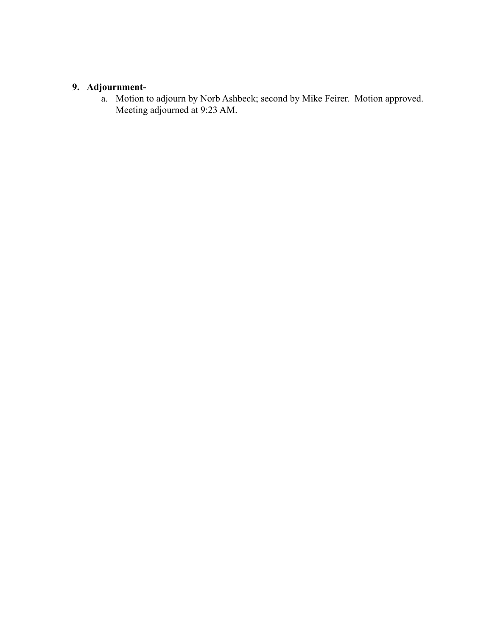# **9. Adjournment-**

a. Motion to adjourn by Norb Ashbeck; second by Mike Feirer. Motion approved. Meeting adjourned at 9:23 AM.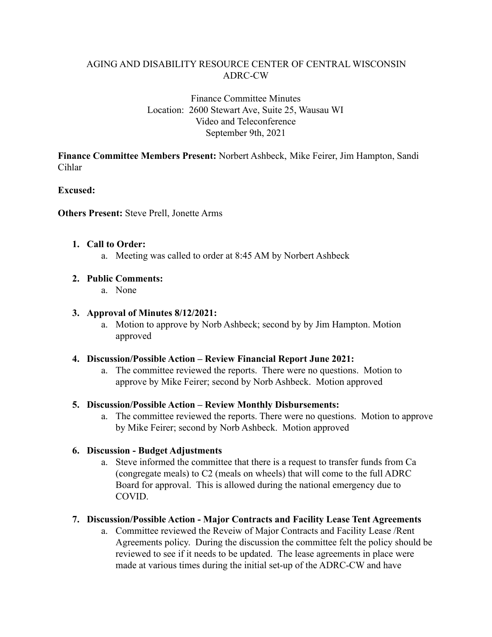### Finance Committee Minutes Location: 2600 Stewart Ave, Suite 25, Wausau WI Video and Teleconference September 9th, 2021

**Finance Committee Members Present:** Norbert Ashbeck, Mike Feirer, Jim Hampton, Sandi Cihlar

### **Excused:**

**Others Present:** Steve Prell, Jonette Arms

#### **1. Call to Order:**

a. Meeting was called to order at 8:45 AM by Norbert Ashbeck

### **2. Public Comments:**

a. None

#### **3. Approval of Minutes 8/12/2021:**

a. Motion to approve by Norb Ashbeck; second by by Jim Hampton. Motion approved

#### **4. Discussion/Possible Action – Review Financial Report June 2021:**

a. The committee reviewed the reports. There were no questions. Motion to approve by Mike Feirer; second by Norb Ashbeck. Motion approved

#### **5. Discussion/Possible Action – Review Monthly Disbursements:**

a. The committee reviewed the reports. There were no questions. Motion to approve by Mike Feirer; second by Norb Ashbeck. Motion approved

### **6. Discussion - Budget Adjustments**

a. Steve informed the committee that there is a request to transfer funds from Ca (congregate meals) to C2 (meals on wheels) that will come to the full ADRC Board for approval. This is allowed during the national emergency due to COVID.

### **7. Discussion/Possible Action - Major Contracts and Facility Lease Tent Agreements**

a. Committee reviewed the Reveiw of Major Contracts and Facility Lease /Rent Agreements policy. During the discussion the committee felt the policy should be reviewed to see if it needs to be updated. The lease agreements in place were made at various times during the initial set-up of the ADRC-CW and have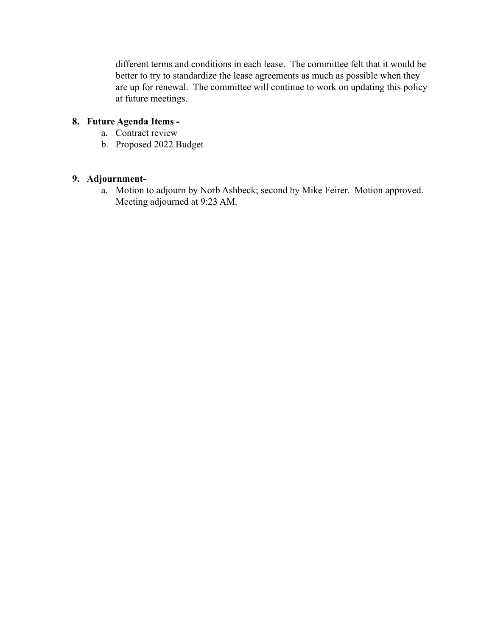different terms and conditions in each lease. The committee felt that it would be better to try to standardize the lease agreements as much as possible when they are up for renewal. The committee will continue to work on updating this policy at future meetings.

# **8. Future Agenda Items -**

- a. Contract review
- b. Proposed 2022 Budget

# **9. Adjournment-**

a. Motion to adjourn by Norb Ashbeck; second by Mike Feirer. Motion approved. Meeting adjourned at 9:23 AM.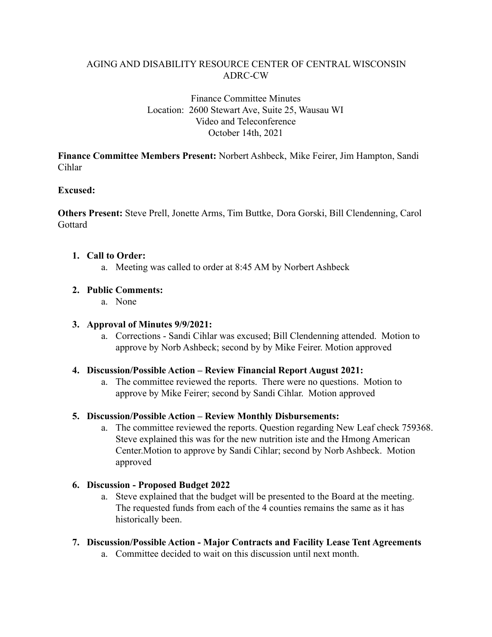### Finance Committee Minutes Location: 2600 Stewart Ave, Suite 25, Wausau WI Video and Teleconference October 14th, 2021

**Finance Committee Members Present:** Norbert Ashbeck, Mike Feirer, Jim Hampton, Sandi Cihlar

### **Excused:**

**Others Present:** Steve Prell, Jonette Arms, Tim Buttke, Dora Gorski, Bill Clendenning, Carol Gottard

### **1. Call to Order:**

a. Meeting was called to order at 8:45 AM by Norbert Ashbeck

### **2. Public Comments:**

a. None

### **3. Approval of Minutes 9/9/2021:**

a. Corrections - Sandi Cihlar was excused; Bill Clendenning attended. Motion to approve by Norb Ashbeck; second by by Mike Feirer. Motion approved

### **4. Discussion/Possible Action – Review Financial Report August 2021:**

a. The committee reviewed the reports. There were no questions. Motion to approve by Mike Feirer; second by Sandi Cihlar. Motion approved

# **5. Discussion/Possible Action – Review Monthly Disbursements:**

a. The committee reviewed the reports. Question regarding New Leaf check 759368. Steve explained this was for the new nutrition iste and the Hmong American Center.Motion to approve by Sandi Cihlar; second by Norb Ashbeck. Motion approved

### **6. Discussion - Proposed Budget 2022**

- a. Steve explained that the budget will be presented to the Board at the meeting. The requested funds from each of the 4 counties remains the same as it has historically been.
- **7. Discussion/Possible Action Major Contracts and Facility Lease Tent Agreements**
	- a. Committee decided to wait on this discussion until next month.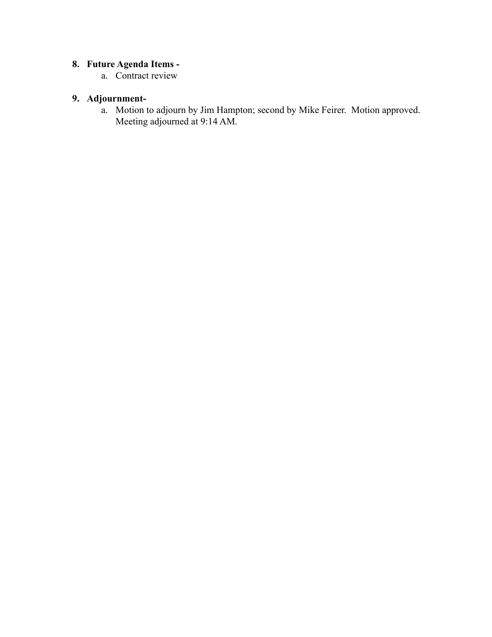# **8. Future Agenda Items -**

a. Contract review

# **9. Adjournment-**

a. Motion to adjourn by Jim Hampton; second by Mike Feirer. Motion approved. Meeting adjourned at 9:14 AM.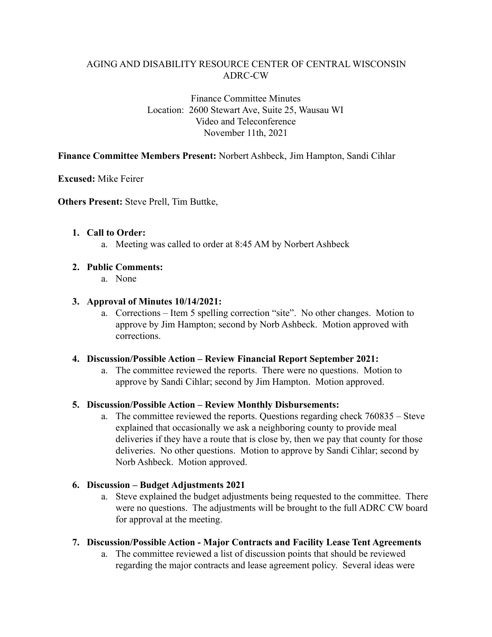Finance Committee Minutes Location: 2600 Stewart Ave, Suite 25, Wausau WI Video and Teleconference November 11th, 2021

#### **Finance Committee Members Present:** Norbert Ashbeck, Jim Hampton, Sandi Cihlar

**Excused:** Mike Feirer

**Others Present:** Steve Prell, Tim Buttke,

#### **1. Call to Order:**

a. Meeting was called to order at 8:45 AM by Norbert Ashbeck

#### **2. Public Comments:**

a. None

#### **3. Approval of Minutes 10/14/2021:**

a. Corrections – Item 5 spelling correction "site". No other changes. Motion to approve by Jim Hampton; second by Norb Ashbeck. Motion approved with corrections.

#### **4. Discussion/Possible Action – Review Financial Report September 2021:**

a. The committee reviewed the reports. There were no questions. Motion to approve by Sandi Cihlar; second by Jim Hampton. Motion approved.

#### **5. Discussion/Possible Action – Review Monthly Disbursements:**

a. The committee reviewed the reports. Questions regarding check 760835 – Steve explained that occasionally we ask a neighboring county to provide meal deliveries if they have a route that is close by, then we pay that county for those deliveries. No other questions. Motion to approve by Sandi Cihlar; second by Norb Ashbeck. Motion approved.

#### **6. Discussion – Budget Adjustments 2021**

a. Steve explained the budget adjustments being requested to the committee. There were no questions. The adjustments will be brought to the full ADRC CW board for approval at the meeting.

### **7. Discussion/Possible Action - Major Contracts and Facility Lease Tent Agreements**

a. The committee reviewed a list of discussion points that should be reviewed regarding the major contracts and lease agreement policy. Several ideas were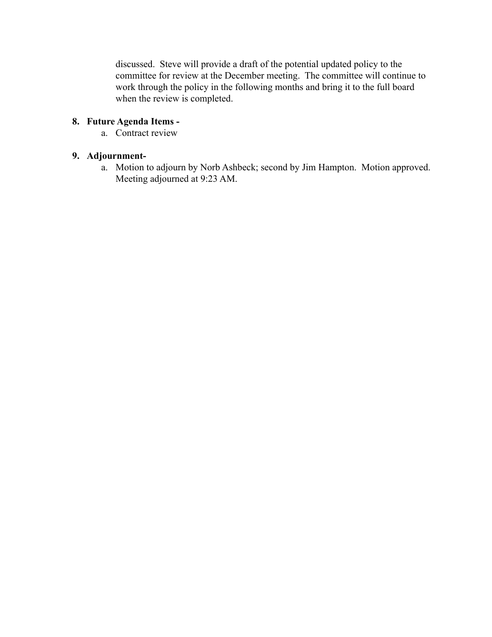discussed. Steve will provide a draft of the potential updated policy to the committee for review at the December meeting. The committee will continue to work through the policy in the following months and bring it to the full board when the review is completed.

# **8. Future Agenda Items -**

a. Contract review

### **9. Adjournment-**

a. Motion to adjourn by Norb Ashbeck; second by Jim Hampton. Motion approved. Meeting adjourned at 9:23 AM.